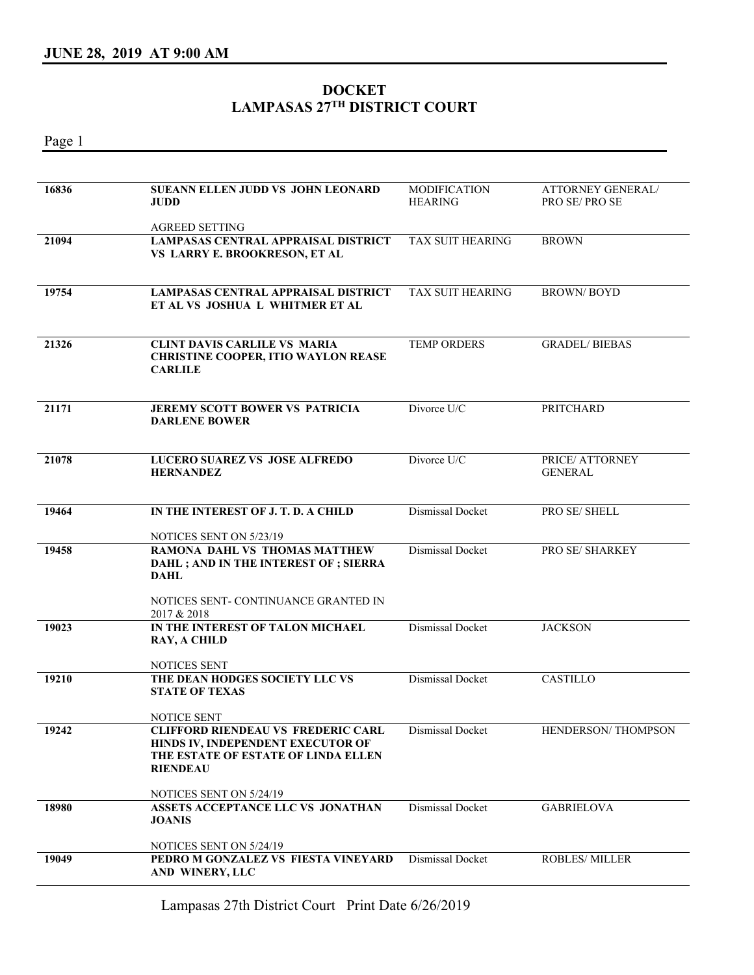Page 1

## **DOCKET LAMPASAS 27TH DISTRICT COURT**

**16836 SUEANN ELLEN JUDD VS JOHN LEONARD JUDD**  AGREED SETTING MODIFICATION **HEARING** ATTORNEY GENERAL/ PRO SE/ PRO SE **21094 LAMPASAS CENTRAL APPRAISAL DISTRICT VS LARRY E. BROOKRESON, ET AL**  TAX SUIT HEARING BROWN **19754 LAMPASAS CENTRAL APPRAISAL DISTRICT ET AL VS JOSHUA L WHITMER ET AL**  TAX SUIT HEARING BROWN/ BOYD **21326 CLINT DAVIS CARLILE VS MARIA CHRISTINE COOPER, ITIO WAYLON REASE CARLILE**  TEMP ORDERS GRADEL/ BIEBAS **21171 JEREMY SCOTT BOWER VS PATRICIA DARLENE BOWER**  Divorce U/C PRITCHARD **21078 LUCERO SUAREZ VS JOSE ALFREDO HERNANDEZ**  Divorce U/C PRICE/ ATTORNEY GENERAL **19464 IN THE INTEREST OF J. T. D. A CHILD**  NOTICES SENT ON 5/23/19 Dismissal Docket PRO SE/ SHELL **19458 RAMONA DAHL VS THOMAS MATTHEW DAHL ; AND IN THE INTEREST OF ; SIERRA DAHL**  NOTICES SENT- CONTINUANCE GRANTED IN 2017 & 2018 Dismissal Docket PRO SE/ SHARKEY **19023 IN THE INTEREST OF TALON MICHAEL RAY, A CHILD**  NOTICES SENT Dismissal Docket JACKSON **19210 THE DEAN HODGES SOCIETY LLC VS STATE OF TEXAS**  NOTICE SENT Dismissal Docket CASTILLO **19242 CLIFFORD RIENDEAU VS FREDERIC CARL HINDS IV, INDEPENDENT EXECUTOR OF THE ESTATE OF ESTATE OF LINDA ELLEN RIENDEAU**  NOTICES SENT ON 5/24/19 Dismissal Docket HENDERSON/ THOMPSON **18980 ASSETS ACCEPTANCE LLC VS JONATHAN JOANIS**  NOTICES SENT ON 5/24/19 Dismissal Docket GABRIELOVA **19049 PEDRO M GONZALEZ VS FIESTA VINEYARD AND WINERY, LLC**  Dismissal Docket ROBLES/ MILLER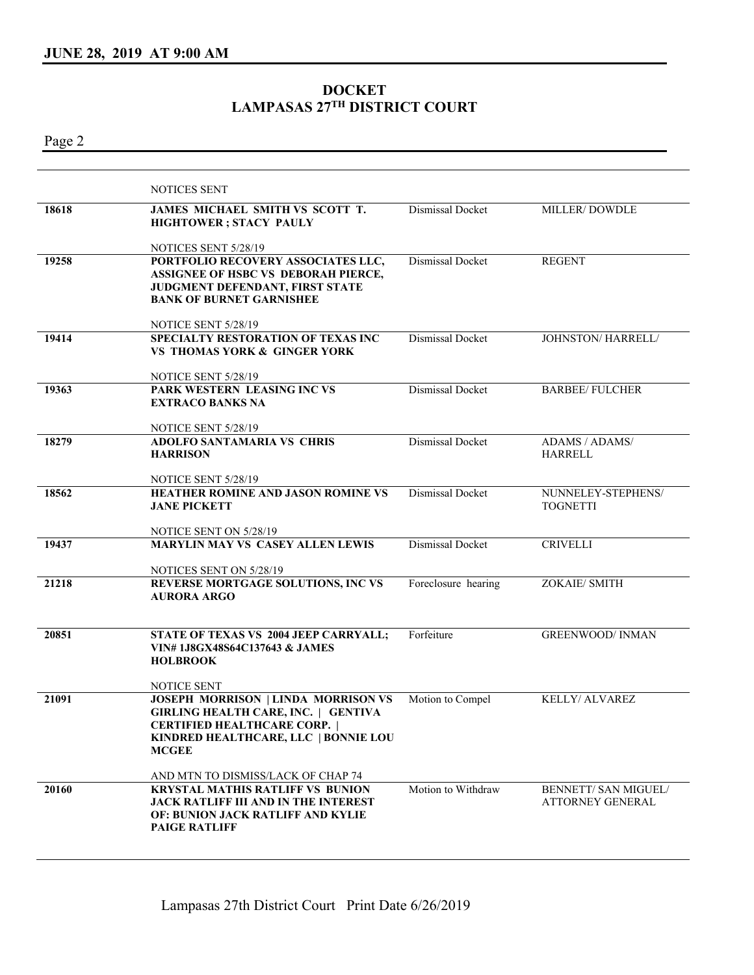## **DOCKET LAMPASAS 27TH DISTRICT COURT**

Page 2

|       | NOTICES SENT                                                                                                                                                                            |                     |                                          |
|-------|-----------------------------------------------------------------------------------------------------------------------------------------------------------------------------------------|---------------------|------------------------------------------|
| 18618 | JAMES MICHAEL SMITH VS SCOTT T.<br><b>HIGHTOWER</b> ; STACY PAULY                                                                                                                       | Dismissal Docket    | MILLER/DOWDLE                            |
|       | NOTICES SENT 5/28/19                                                                                                                                                                    |                     |                                          |
| 19258 | PORTFOLIO RECOVERY ASSOCIATES LLC,<br>ASSIGNEE OF HSBC VS DEBORAH PIERCE,<br>JUDGMENT DEFENDANT, FIRST STATE<br><b>BANK OF BURNET GARNISHEE</b>                                         | Dismissal Docket    | <b>REGENT</b>                            |
|       |                                                                                                                                                                                         |                     |                                          |
| 19414 | NOTICE SENT 5/28/19<br>SPECIALTY RESTORATION OF TEXAS INC<br><b>VS THOMAS YORK &amp; GINGER YORK</b>                                                                                    | Dismissal Docket    | JOHNSTON/HARRELL/                        |
|       | NOTICE SENT 5/28/19                                                                                                                                                                     |                     |                                          |
| 19363 | PARK WESTERN LEASING INC VS<br><b>EXTRACO BANKS NA</b>                                                                                                                                  | Dismissal Docket    | <b>BARBEE/ FULCHER</b>                   |
|       | NOTICE SENT 5/28/19                                                                                                                                                                     |                     |                                          |
| 18279 | <b>ADOLFO SANTAMARIA VS CHRIS</b><br><b>HARRISON</b>                                                                                                                                    | Dismissal Docket    | ADAMS / ADAMS/<br><b>HARRELL</b>         |
|       | NOTICE SENT 5/28/19                                                                                                                                                                     |                     |                                          |
| 18562 | HEATHER ROMINE AND JASON ROMINE VS<br><b>JANE PICKETT</b>                                                                                                                               | Dismissal Docket    | NUNNELEY-STEPHENS/<br><b>TOGNETTI</b>    |
|       | NOTICE SENT ON 5/28/19                                                                                                                                                                  |                     |                                          |
| 19437 | MARYLIN MAY VS CASEY ALLEN LEWIS                                                                                                                                                        | Dismissal Docket    | <b>CRIVELLI</b>                          |
|       | NOTICES SENT ON 5/28/19                                                                                                                                                                 |                     |                                          |
| 21218 | REVERSE MORTGAGE SOLUTIONS, INC VS<br><b>AURORA ARGO</b>                                                                                                                                | Foreclosure hearing | ZOKAIE/ SMITH                            |
| 20851 | STATE OF TEXAS VS 2004 JEEP CARRYALL;<br>VIN#1J8GX48S64C137643 & JAMES<br><b>HOLBROOK</b>                                                                                               | Forfeiture          | <b>GREENWOOD/ INMAN</b>                  |
|       | NOTICE SENT                                                                                                                                                                             |                     |                                          |
| 21091 | <b>JOSEPH MORRISON   LINDA MORRISON VS</b><br><b>GIRLING HEALTH CARE, INC.   GENTIVA</b><br><b>CERTIFIED HEALTHCARE CORP.  </b><br>KINDRED HEALTHCARE, LLC   BONNIE LOU<br><b>MCGEE</b> | Motion to Compel    | KELLY/ ALVAREZ                           |
|       | AND MTN TO DISMISS/LACK OF CHAP 74                                                                                                                                                      |                     |                                          |
| 20160 | <b>KRYSTAL MATHIS RATLIFF VS BUNION</b><br><b>JACK RATLIFF III AND IN THE INTEREST</b><br>OF: BUNION JACK RATLIFF AND KYLIE<br><b>PAIGE RATLIFF</b>                                     | Motion to Withdraw  | BENNETT/ SAN MIGUEL/<br>ATTORNEY GENERAL |